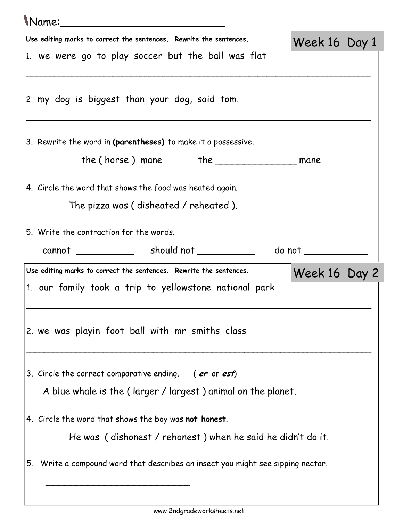## Name:\_\_\_\_\_\_\_\_\_\_\_\_\_\_\_\_\_\_\_\_\_\_\_\_\_

|    | Use editing marks to correct the sentences. Rewrite the sentences.           | Week 16 Day 1         |  |
|----|------------------------------------------------------------------------------|-----------------------|--|
|    | 1. we were go to play soccer but the ball was flat                           |                       |  |
|    |                                                                              |                       |  |
|    | 2. my dog is biggest than your dog, said tom.                                |                       |  |
|    | 3. Rewrite the word in (parentheses) to make it a possessive.                |                       |  |
|    |                                                                              |                       |  |
|    | 4. Circle the word that shows the food was heated again.                     |                       |  |
|    | The pizza was (disheated / reheated).                                        |                       |  |
|    | 5. Write the contraction for the words.                                      |                       |  |
|    |                                                                              | do not ______________ |  |
|    |                                                                              |                       |  |
|    |                                                                              |                       |  |
|    | Use editing marks to correct the sentences. Rewrite the sentences.           | Week 16 Day 2         |  |
|    | 1. our family took a trip to yellowstone national park                       |                       |  |
|    |                                                                              |                       |  |
|    | 2. we was playin foot ball with mr smiths class                              |                       |  |
|    |                                                                              |                       |  |
|    |                                                                              |                       |  |
|    | 3. Circle the correct comparative ending. (er or est)                        |                       |  |
|    | A blue whale is the (larger / largest) animal on the planet.                 |                       |  |
|    | 4. Circle the word that shows the boy was not honest.                        |                       |  |
|    | He was (dishonest / rehonest) when he said he didn't do it.                  |                       |  |
| 5. | Write a compound word that describes an insect you might see sipping nectar. |                       |  |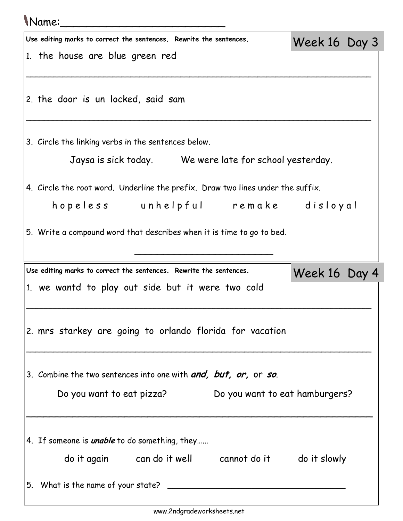## Name:\_\_\_\_\_\_\_\_\_\_\_\_\_\_\_\_\_\_\_\_\_\_\_\_\_

| Use editing marks to correct the sentences. Rewrite the sentences.              | Week 16 Day 3 |  |  |  |
|---------------------------------------------------------------------------------|---------------|--|--|--|
| 1. the house are blue green red                                                 |               |  |  |  |
|                                                                                 |               |  |  |  |
| 2. the door is un locked, said sam                                              |               |  |  |  |
|                                                                                 |               |  |  |  |
| 3. Circle the linking verbs in the sentences below.                             |               |  |  |  |
|                                                                                 |               |  |  |  |
| Jaysa is sick today. We were late for school yesterday.                         |               |  |  |  |
| 4. Circle the root word. Underline the prefix. Draw two lines under the suffix. |               |  |  |  |
| hopeless unhelpful remake disloyal                                              |               |  |  |  |
| 5. Write a compound word that describes when it is time to go to bed.           |               |  |  |  |
|                                                                                 |               |  |  |  |
|                                                                                 |               |  |  |  |
|                                                                                 |               |  |  |  |
| Use editing marks to correct the sentences. Rewrite the sentences.              | Week 16 Day 4 |  |  |  |
| 1. we wantd to play out side but it were two cold                               |               |  |  |  |
|                                                                                 |               |  |  |  |
| 2. mrs starkey are going to orlando florida for vacation                        |               |  |  |  |
|                                                                                 |               |  |  |  |
|                                                                                 |               |  |  |  |
| 3. Combine the two sentences into one with <b>and, but, or,</b> or so.          |               |  |  |  |
| Do you want to eat hamburgers?<br>Do you want to eat pizza?                     |               |  |  |  |
|                                                                                 |               |  |  |  |
| 4. If someone is <i>unable</i> to do something, they                            |               |  |  |  |
| do it again can do it well cannot do it do it slowly                            |               |  |  |  |
| 5. What is the name of your state? _                                            |               |  |  |  |